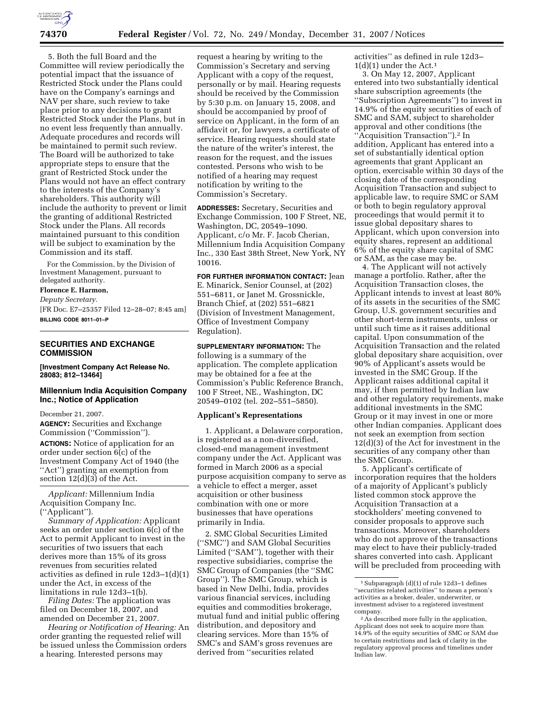

5. Both the full Board and the Committee will review periodically the potential impact that the issuance of Restricted Stock under the Plans could have on the Company's earnings and NAV per share, such review to take place prior to any decisions to grant Restricted Stock under the Plans, but in no event less frequently than annually. Adequate procedures and records will be maintained to permit such review. The Board will be authorized to take appropriate steps to ensure that the grant of Restricted Stock under the Plans would not have an effect contrary to the interests of the Company's shareholders. This authority will include the authority to prevent or limit the granting of additional Restricted Stock under the Plans. All records maintained pursuant to this condition will be subject to examination by the Commission and its staff.

For the Commission, by the Division of Investment Management, pursuant to delegated authority.

#### **Florence E. Harmon,**

*Deputy Secretary.*  [FR Doc. E7–25357 Filed 12–28–07; 8:45 am] **BILLING CODE 8011–01–P** 

# **SECURITIES AND EXCHANGE COMMISSION**

**[Investment Company Act Release No. 28083; 812–13464]** 

## **Millennium India Acquisition Company Inc.; Notice of Application**

December 21, 2007.

**AGENCY:** Securities and Exchange Commission (''Commission''). **ACTIONS:** Notice of application for an order under section 6(c) of the Investment Company Act of 1940 (the ''Act'') granting an exemption from section 12(d)(3) of the Act.

*Applicant:* Millennium India Acquisition Company Inc. (''Applicant'').

*Summary of Application:* Applicant seeks an order under section 6(c) of the Act to permit Applicant to invest in the securities of two issuers that each derives more than 15% of its gross revenues from securities related activities as defined in rule 12d3–1(d)(1) under the Act, in excess of the limitations in rule 12d3–1(b).

*Filing Dates:* The application was filed on December 18, 2007, and amended on December 21, 2007.

*Hearing or Notification of Hearing:* An order granting the requested relief will be issued unless the Commission orders a hearing. Interested persons may

request a hearing by writing to the Commission's Secretary and serving Applicant with a copy of the request, personally or by mail. Hearing requests should be received by the Commission by 5:30 p.m. on January 15, 2008, and should be accompanied by proof of service on Applicant, in the form of an affidavit or, for lawyers, a certificate of service. Hearing requests should state the nature of the writer's interest, the reason for the request, and the issues contested. Persons who wish to be notified of a hearing may request notification by writing to the Commission's Secretary.

**ADDRESSES:** Secretary, Securities and Exchange Commission, 100 F Street, NE, Washington, DC, 20549–1090. Applicant, c/o Mr. F. Jacob Cherian, Millennium India Acquisition Company Inc., 330 East 38th Street, New York, NY 10016.

**FOR FURTHER INFORMATION CONTACT:** Jean E. Minarick, Senior Counsel, at (202) 551–6811, or Janet M. Grossnickle, Branch Chief, at (202) 551–6821

(Division of Investment Management, Office of Investment Company Regulation).

**SUPPLEMENTARY INFORMATION:** The following is a summary of the application. The complete application may be obtained for a fee at the Commission's Public Reference Branch, 100 F Street, NE., Washington, DC 20549–0102 (tel. 202–551–5850).

### **Applicant's Representations**

1. Applicant, a Delaware corporation, is registered as a non-diversified, closed-end management investment company under the Act. Applicant was formed in March 2006 as a special purpose acquisition company to serve as a vehicle to effect a merger, asset acquisition or other business combination with one or more businesses that have operations primarily in India.

2. SMC Global Securities Limited (''SMC'') and SAM Global Securities Limited (''SAM''), together with their respective subsidiaries, comprise the SMC Group of Companies (the ''SMC Group''). The SMC Group, which is based in New Delhi, India, provides various financial services, including equities and commodities brokerage, mutual fund and initial public offering distribution, and depository and clearing services. More than 15% of SMC's and SAM's gross revenues are derived from ''securities related

activities'' as defined in rule 12d3–  $1(d)(1)$  under the Act.<sup>1</sup>

3. On May 12, 2007, Applicant entered into two substantially identical share subscription agreements (the ''Subscription Agreements'') to invest in 14.9% of the equity securities of each of SMC and SAM, subject to shareholder approval and other conditions (the ''Acquisition Transaction'').2 In addition, Applicant has entered into a set of substantially identical option agreements that grant Applicant an option, exercisable within 30 days of the closing date of the corresponding Acquisition Transaction and subject to applicable law, to require SMC or SAM or both to begin regulatory approval proceedings that would permit it to issue global depositary shares to Applicant, which upon conversion into equity shares, represent an additional 6% of the equity share capital of SMC or SAM, as the case may be.

4. The Applicant will not actively manage a portfolio. Rather, after the Acquisition Transaction closes, the Applicant intends to invest at least 80% of its assets in the securities of the SMC Group, U.S. government securities and other short-term instruments, unless or until such time as it raises additional capital. Upon consummation of the Acquisition Transaction and the related global depositary share acquisition, over 90% of Applicant's assets would be invested in the SMC Group. If the Applicant raises additional capital it may, if then permitted by Indian law and other regulatory requirements, make additional investments in the SMC Group or it may invest in one or more other Indian companies. Applicant does not seek an exemption from section 12(d)(3) of the Act for investment in the securities of any company other than the SMC Group.

5. Applicant's certificate of incorporation requires that the holders of a majority of Applicant's publicly listed common stock approve the Acquisition Transaction at a stockholders' meeting convened to consider proposals to approve such transactions. Moreover, shareholders who do not approve of the transactions may elect to have their publicly-traded shares converted into cash. Applicant will be precluded from proceeding with

<sup>1</sup>Subparagraph (d)(1) of rule 12d3–1 defines ''securities related activities'' to mean a person's activities as a broker, dealer, underwriter, or investment adviser to a registered investment company.

 $\,{}^2\mathrm{As}$  described more fully in the application, Applicant does not seek to acquire more than 14.9% of the equity securities of SMC or SAM due to certain restrictions and lack of clarity in the regulatory approval process and timelines under Indian law.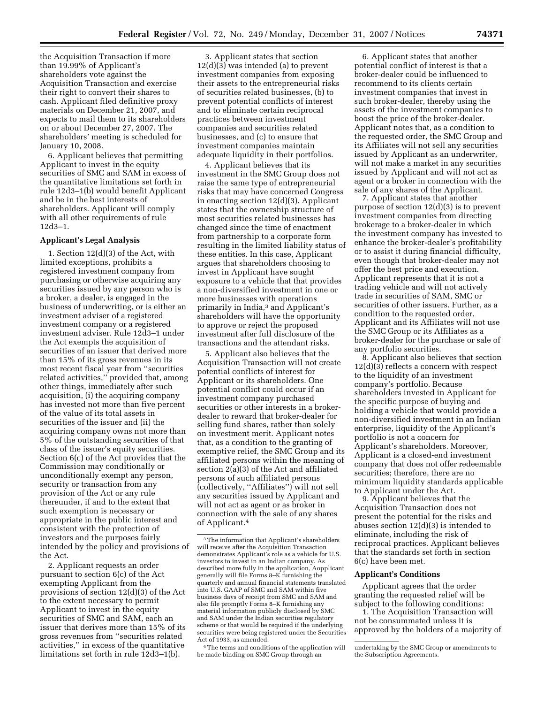the Acquisition Transaction if more than 19.99% of Applicant's shareholders vote against the Acquisition Transaction and exercise their right to convert their shares to cash. Applicant filed definitive proxy materials on December 21, 2007, and expects to mail them to its shareholders on or about December 27, 2007. The shareholders' meeting is scheduled for January 10, 2008.

6. Applicant believes that permitting Applicant to invest in the equity securities of SMC and SAM in excess of the quantitative limitations set forth in rule 12d3–1(b) would benefit Applicant and be in the best interests of shareholders. Applicant will comply with all other requirements of rule 12d3–1.

### **Applicant's Legal Analysis**

1. Section 12(d)(3) of the Act, with limited exceptions, prohibits a registered investment company from purchasing or otherwise acquiring any securities issued by any person who is a broker, a dealer, is engaged in the business of underwriting, or is either an investment adviser of a registered investment company or a registered investment adviser. Rule 12d3–1 under the Act exempts the acquisition of securities of an issuer that derived more than 15% of its gross revenues in its most recent fiscal year from ''securities related activities,'' provided that, among other things, immediately after such acquisition, (i) the acquiring company has invested not more than five percent of the value of its total assets in securities of the issuer and (ii) the acquiring company owns not more than 5% of the outstanding securities of that class of the issuer's equity securities. Section 6(c) of the Act provides that the Commission may conditionally or unconditionally exempt any person, security or transaction from any provision of the Act or any rule thereunder, if and to the extent that such exemption is necessary or appropriate in the public interest and consistent with the protection of investors and the purposes fairly intended by the policy and provisions of the Act.

2. Applicant requests an order pursuant to section 6(c) of the Act exempting Applicant from the provisions of section 12(d)(3) of the Act to the extent necessary to permit Applicant to invest in the equity securities of SMC and SAM, each an issuer that derives more than 15% of its gross revenues from ''securities related activities,'' in excess of the quantitative limitations set forth in rule 12d3–1(b).

3. Applicant states that section  $12(d)(3)$  was intended (a) to prevent investment companies from exposing their assets to the entrepreneurial risks of securities related businesses, (b) to prevent potential conflicts of interest and to eliminate certain reciprocal practices between investment companies and securities related businesses, and (c) to ensure that investment companies maintain adequate liquidity in their portfolios.

4. Applicant believes that its investment in the SMC Group does not raise the same type of entrepreneurial risks that may have concerned Congress in enacting section 12(d)(3). Applicant states that the ownership structure of most securities related businesses has changed since the time of enactment from partnership to a corporate form resulting in the limited liability status of these entities. In this case, Applicant argues that shareholders choosing to invest in Applicant have sought exposure to a vehicle that that provides a non-diversified investment in one or more businesses with operations primarily in India,3 and Applicant's shareholders will have the opportunity to approve or reject the proposed investment after full disclosure of the transactions and the attendant risks.

5. Applicant also believes that the Acquisition Transaction will not create potential conflicts of interest for Applicant or its shareholders. One potential conflict could occur if an investment company purchased securities or other interests in a brokerdealer to reward that broker-dealer for selling fund shares, rather than solely on investment merit. Applicant notes that, as a condition to the granting of exemptive relief, the SMC Group and its affiliated persons within the meaning of section 2(a)(3) of the Act and affiliated persons of such affiliated persons (collectively, ''Affiliates'') will not sell any securities issued by Applicant and will not act as agent or as broker in connection with the sale of any shares of Applicant.4

4The terms and conditions of the application will be made binding on SMC Group through an

6. Applicant states that another potential conflict of interest is that a broker-dealer could be influenced to recommend to its clients certain investment companies that invest in such broker-dealer, thereby using the assets of the investment companies to boost the price of the broker-dealer. Applicant notes that, as a condition to the requested order, the SMC Group and its Affiliates will not sell any securities issued by Applicant as an underwriter, will not make a market in any securities issued by Applicant and will not act as agent or a broker in connection with the sale of any shares of the Applicant.

7. Applicant states that another purpose of section 12(d)(3) is to prevent investment companies from directing brokerage to a broker-dealer in which the investment company has invested to enhance the broker-dealer's profitability or to assist it during financial difficulty, even though that broker-dealer may not offer the best price and execution. Applicant represents that it is not a trading vehicle and will not actively trade in securities of SAM, SMC or securities of other issuers. Further, as a condition to the requested order, Applicant and its Affiliates will not use the SMC Group or its Affiliates as a broker-dealer for the purchase or sale of any portfolio securities.

8. Applicant also believes that section 12(d)(3) reflects a concern with respect to the liquidity of an investment company's portfolio. Because shareholders invested in Applicant for the specific purpose of buying and holding a vehicle that would provide a non-diversified investment in an Indian enterprise, liquidity of the Applicant's portfolio is not a concern for Applicant's shareholders. Moreover, Applicant is a closed-end investment company that does not offer redeemable securities; therefore, there are no minimum liquidity standards applicable to Applicant under the Act.

9. Applicant believes that the Acquisition Transaction does not present the potential for the risks and abuses section 12(d)(3) is intended to eliminate, including the risk of reciprocal practices. Applicant believes that the standards set forth in section 6(c) have been met.

#### **Applicant's Conditions**

Applicant agrees that the order granting the requested relief will be subject to the following conditions:

1. The Acquisition Transaction will not be consummated unless it is approved by the holders of a majority of

<sup>3</sup>The information that Applicant's shareholders will receive after the Acquisition Transaction demonstrates Applicant's role as a vehicle for U.S. investors to invest in an Indian company. As described more fully in the application, Aopplicant generally will file Forms 8–K furnishing the quarterly and annual financial statements translated into U.S. GAAP of SMC and SAM within five business days of receipt from SMC and SAM and also file promptly Forms 8–K furnishing any material information publicly disclosed by SMC and SAM under the Indian securities regulatory scheme or that would be required if the underlying securities were being registered under the Securities Act of 1933, as amended.

undertaking by the SMC Group or amendments to the Subscription Agreements.